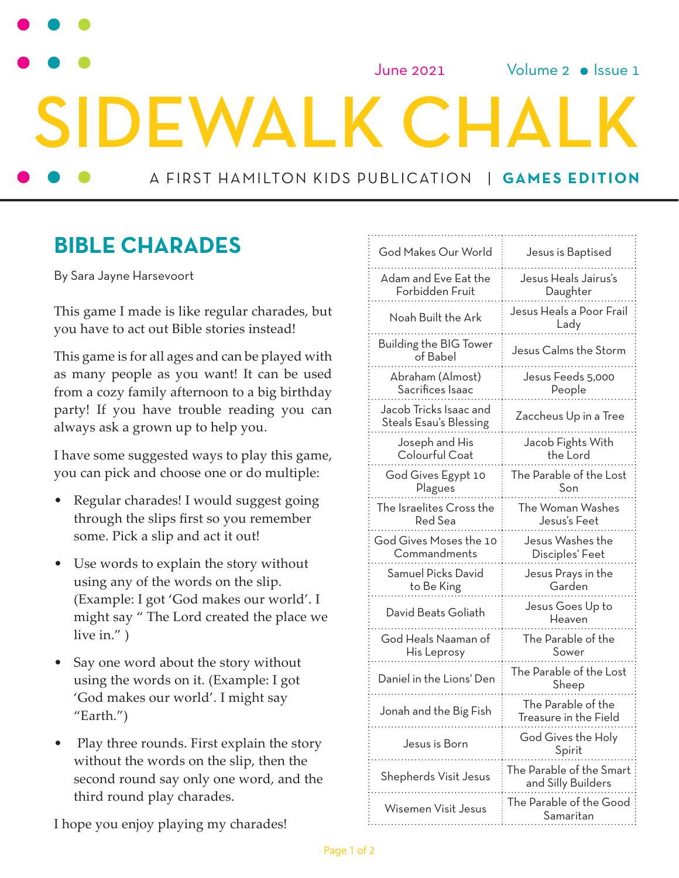June 2021

Volume  $2 \cdot$  Issue 1

A FIRST HAMILTON KIDS PUBLICATION | **GAMES EDITION**

**DEWALK CH** 

### **BIBLE CHARADES**

By Sara Jayne Harsevoort

This game I made is like regular charades, but you have to act out Bible stories instead!

This game is for all ages and can be played with as many people as you want! It can be used from a cozy family afternoon to a big birthday party! If you have trouble reading you can always ask a grown up to help you.

I have some suggested ways to play this game, you can pick and choose one or do multiple:

- Regular charades! I would suggest going through the slips first so you remember some. Pick a slip and act it out!
- Use words to explain the story without using any of the words on the slip. (Example: I got 'God makes our world'. I might say " The Lord created the place we live in." )
- Say one word about the story without using the words on it. (Example: I got 'God makes our world'. I might say "Earth.")
- Play three rounds. First explain the story without the words on the slip, then the second round say only one word, and the third round play charades.

I hope you enjoy playing my charades!

| God Makes Our World                              | Jesus is Baptised                              |
|--------------------------------------------------|------------------------------------------------|
| Adam and Eve Eat the<br>Forbidden Fruit          | Jesus Heals Jairus's<br>Daughter               |
| Noah Built the Ark                               | Jesus Heals a Poor Frail<br>Lady               |
| Building the BIG Tower<br>of Babel               | Jesus Calms the Storm                          |
| Abraham (Almost)<br>Sacrifices Isaac             | Jesus Feeds 5,000<br>People                    |
| Jacob Tricks Isaac and<br>Steals Esau's Blessing | Zaccheus Up in a Tree                          |
| Joseph and His<br>Colourful Coat                 | Jacob Fights With<br>the Lord                  |
| God Gives Egypt 10<br>Plagues                    | The Parable of the Lost<br>Son                 |
| The Israelites Cross the<br>Red Sea              | The Woman Washes<br>Jesus's Feet               |
| God Gives Moses the 10<br>Commandments           | Jesus Washes the<br>Disciples' Feet            |
| Samuel Picks David<br>to Be King                 | Jesus Prays in the<br>Garden                   |
| David Beats Goliath                              | Jesus Goes Up to<br>Heaven                     |
| God Heals Naaman of<br>His Leprosy               | The Parable of the<br>Sower                    |
| Daniel in the Lions' Den                         | The Parable of the Lost<br>Sheep               |
| Jonah and the Big Fish                           | The Parable of the<br>Treasure in the Field    |
| Jesus is Born                                    | God Gives the Holy<br>Spirit                   |
| Shepherds Visit Jesus                            | The Parable of the Smart<br>and Silly Builders |
| Wisemen Visit Jesus                              | The Parable of the Good<br>Samaritan           |